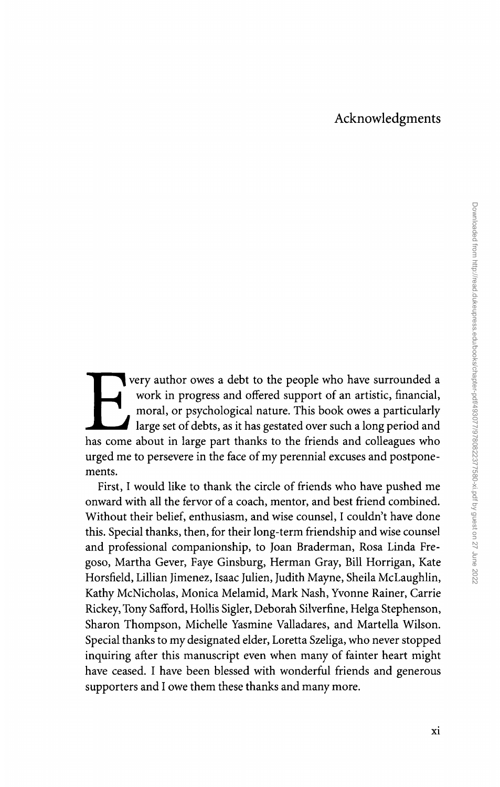## Acknowledgments

very author owes a debt to the people who have surrounded a work in progress and offered support of an artistic, financial, moral, or psychological nature. This book owes a particularly work in progress and offered support of an artistic, financial, moral, or psychological nature. This book owes a particularly large set of debts, as it has gestated over such a long period and has come about in large part thanks to the friends and colleagues who urged me to persevere in the face of my perennial excuses and postponements.

First, I would like to thank the circle of friends who have pushed me onward with all the fervor of a coach, mentor, and best friend combined. Without their belief, enthusiasm, and wise counsel, I couldn't have done this. Special thanks, then, for their long-term friendship and wise counsel and professional companionship, to Joan Braderman, Rosa Linda Fregoso, Martha Gever, Faye Ginsburg, Herman Gray, Bill Horrigan, Kate Horsfield, Lillian Jimenez, Isaac Julien, Judith Mayne, Sheila McLaughlin, Kathy McNicholas, Monica Melamid, Mark Nash, Yvonne Rainer, Carrie Rickey, Tony Safford, Hollis Sigler, Deborah Silverfine, Helga Stephenson, Sharon Thompson, Michelle Yasmine Valladares, and Martella Wilson. Special thanks to my designated elder, Loretta Szeliga, who never stopped inquiring after this manuscript even when many of fainter heart might have ceased. I have been blessed with wonderful friends and generous supporters and I owe them these thanks and many more.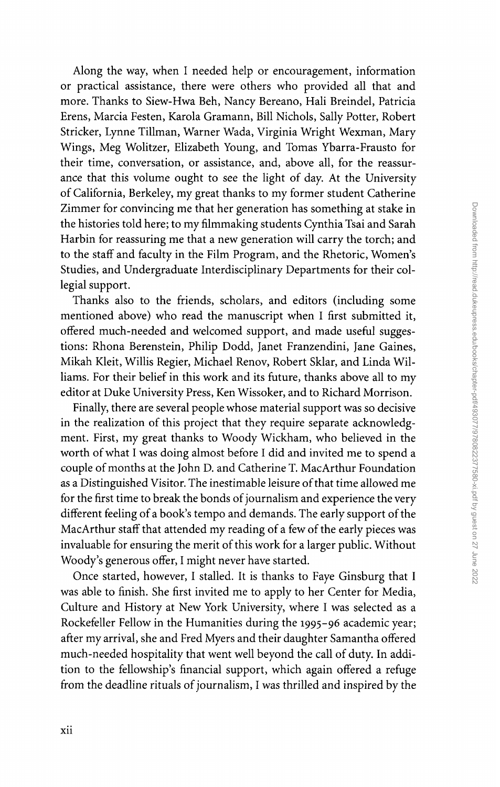Along the way, when I needed help or encouragement, information or practical assistance, there were others who provided all that and more. Thanks to Siew-Hwa Beh, Nancy Bereano, Hali Breindel, Patricia Erens, Marcia Festen, Karola Gramann, Bill Nichols, Sally Potter, Robert Stricker, Lynne Tillman, Warner Wada, Virginia Wright Wexman, Mary Wings, Meg Wolitzer, Elizabeth Young, and Tomas Ybarra-Frausto for their time, conversation, or assistance, and, above all, for the reassurance that this volume ought to see the light of day. At the University of California, Berkeley, my great thanks to my former student Catherine Zimmer for convincing me that her generation has something at stake in the histories told here; to my filmmaking students Cynthia Tsai and Sarah Harbin for reassuring me that a new generation will carry the torch; and to the staff and faculty in the Film Program, and the Rhetoric, Women's Studies, and Undergraduate Interdisciplinary Departments for their collegial support.

Thanks also to the friends, scholars, and editors (including some mentioned above) who read the manuscript when I first submitted it, offered much-needed and welcomed support, and made useful suggestions: Rhona Berenstein, Philip Dodd, Janet Franzendini, Jane Gaines, Mikah Kleit, Willis Regier, Michael Renov, Robert Sklar, and Linda Williams. For their belief in this work and its future, thanks above all to my editor at Duke University Press, Ken Wissoker, and to Richard Morrison.

Finally, there are several people whose material support was so decisive in the realization of this project that they require separate acknowledgment. First, my great thanks to Woody Wickham, who believed in the worth of what I was doing almost before I did and invited me to spend a couple of months at the John D. and Catherine T. MacArthur Foundation as a Distinguished Visitor. The inestimable leisure of that time allowed me for the first time to break the bonds of journalism and experience the very different feeling of a book's tempo and demands. The early support of the MacArthur staff that attended my reading of a few of the early pieces was invaluable for ensuring the merit of this work for a larger public. Without Woody's generous offer, I might never have started.

Once started, however, I stalled. It is thanks to Faye Ginsburg that I was able to finish. She first invited me to apply to her Center for Media, Culture and History at New York University, where I was selected as a Rockefeller Fellow in the Humanities during the 1995-96 academic year; after my arrival, she and Fred Myers and their daughter Samantha offered much-needed hospitality that went well beyond the call of duty. In addition to the fellowship's financial support, which again offered a refuge from the deadline rituals of journalism, I was thrilled and inspired by the